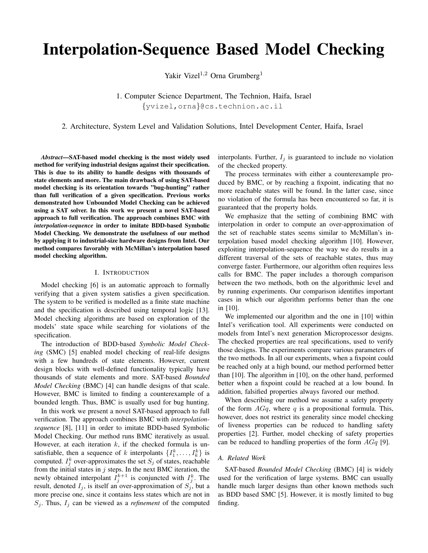# Interpolation-Sequence Based Model Checking

Yakir Vizel<sup>1,2</sup> Orna Grumberg<sup>1</sup>

1. Computer Science Department, The Technion, Haifa, Israel {yvizel,orna}@cs.technion.ac.il

2. Architecture, System Level and Validation Solutions, Intel Development Center, Haifa, Israel

*Abstract*—SAT-based model checking is the most widely used method for verifying industrial designs against their specification. This is due to its ability to handle designs with thousands of state elements and more. The main drawback of using SAT-based model checking is its orientation towards "bug-hunting" rather than full verification of a given specification. Previous works demonstrated how Unbounded Model Checking can be achieved using a SAT solver. In this work we present a novel SAT-based approach to full verification. The approach combines BMC with *interpolation-sequence* in order to imitate BDD-based Symbolic Model Checking. We demonstrate the usefulness of our method by applying it to industrial-size hardware designs from Intel. Our method compares favorably with McMillan's interpolation based model checking algorithm.

### I. INTRODUCTION

Model checking [6] is an automatic approach to formally verifying that a given system satisfies a given specification. The system to be verified is modelled as a finite state machine and the specification is described using temporal logic [13]. Model checking algorithms are based on exploration of the models' state space while searching for violations of the specification.

The introduction of BDD-based *Symbolic Model Checking* (SMC) [5] enabled model checking of real-life designs with a few hundreds of state elements. However, current design blocks with well-defined functionality typically have thousands of state elements and more. SAT-based *Bounded Model Checking* (BMC) [4] can handle designs of that scale. However, BMC is limited to finding a counterexample of a bounded length. Thus, BMC is usually used for bug hunting.

In this work we present a novel SAT-based approach to full verification. The approach combines BMC with *interpolationsequence* [8], [11] in order to imitate BDD-based Symbolic Model Checking. Our method runs BMC iteratively as usual. However, at each iteration  $k$ , if the checked formula is unsatisfiable, then a sequence of k interpolants  $\{I_1^k, \ldots, I_k^k\}$  is computed.  $I_j^k$  over-approximates the set  $S_j$  of states, reachable from the initial states in  $j$  steps. In the next BMC iteration, the newly obtained interpolant  $\overline{I}_j^{k+1}$  is conjuncted with  $I_j^k$ . The result, denoted  $I_j$ , is itself an over-approximation of  $S_j$ , but a more precise one, since it contains less states which are not in  $S_j$ . Thus,  $I_j$  can be viewed as a *refinement* of the computed interpolants. Further,  $I_j$  is guaranteed to include no violation of the checked property.

The process terminates with either a counterexample produced by BMC, or by reaching a fixpoint, indicating that no more reachable states will be found. In the latter case, since no violation of the formula has been encountered so far, it is guaranteed that the property holds.

We emphasize that the setting of combining BMC with interpolation in order to compute an over-approximation of the set of reachable states seems similar to McMillan's interpolation based model checking algorithm [10]. However, exploiting interpolation-sequence the way we do results in a different traversal of the sets of reachable states, thus may converge faster. Furthermore, our algorithm often requires less calls for BMC. The paper includes a thorough comparison between the two methods, both on the algorithmic level and by running experiments. Our comparison identifies important cases in which our algorithm performs better than the one in [10].

We implemented our algorithm and the one in [10] within Intel's verification tool. All experiments were conducted on models from Intel's next generation Microprocessor designs. The checked properties are real specifications, used to verify those designs. The experiments compare various parameters of the two methods. In all our experiments, when a fixpoint could be reached only at a high bound, our method performed better than [10]. The algorithm in [10], on the other hand, performed better when a fixpoint could be reached at a low bound. In addition, falsified properties always favored our method.

When describing our method we assume a safety property of the form  $AGq$ , where q is a propositional formula. This, however, does not restrict its generality since model checking of liveness properties can be reduced to handling safety properties [2]. Further, model checking of safety properties can be reduced to handling properties of the form  $AGq$  [9].

### *A. Related Work*

SAT-based *Bounded Model Checking* (BMC) [4] is widely used for the verification of large systems. BMC can usually handle much larger designs than other known methods such as BDD based SMC [5]. However, it is mostly limited to bug finding.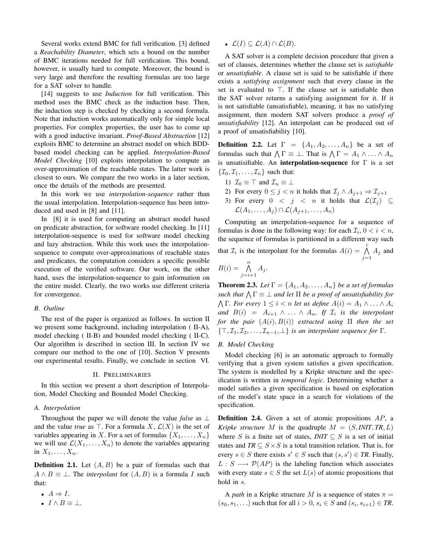Several works extend BMC for full verification. [3] defined a *Reachability Diameter*, which sets a bound on the number of BMC iterations needed for full verification. This bound, however, is usually hard to compute. Moreover, the bound is very large and therefore the resulting formulas are too large for a SAT solver to handle.

[14] suggests to use *Induction* for full verification. This method uses the BMC check as the induction base. Then, the induction step is checked by checking a second formula. Note that induction works automatically only for simple local properties. For complex properties, the user has to come up with a good inductive invariant. *Proof-Based Abstraction* [12] exploits BMC to determine an abstract model on which BDDbased model checking can be applied. *Interpolation-Based Model Checking* [10] exploits interpolation to compute an over-approximation of the reachable states. The latter work is closest to ours. We compare the two works in a later section, once the details of the methods are presented.

In this work we use *interpolation-sequence* rather than the usual interpolation. Interpolation-sequence has been introduced and used in [8] and [11].

In [8] it is used for computing an abstract model based on predicate abstraction, for software model checking. In [11] interpolation-sequence is used for software model checking and lazy abstraction. While this work uses the interpolationsequence to compute over-approximations of reachable states and predicates, the computation considers a specific possible execution of the verified software. Our work, on the other hand, uses the interpolation-sequence to gain information on the entire model. Clearly, the two works use different criteria for convergence.

#### *B. Outline*

The rest of the paper is organized as follows. In section II we present some background, including interpolation ( II-A), model checking ( II-B) and bounded model checking ( II-C). Our algorithm is described in section III. In section IV we compare our method to the one of [10]. Section V presents our experimental results. Finally, we conclude in section VI.

#### II. PRELIMINARIES

In this section we present a short description of Interpolation, Model Checking and Bounded Model Checking.

#### *A. Interpolation*

Throughout the paper we will denote the value *false* as ⊥ and the value *true* as  $\top$ . For a formula X,  $\mathcal{L}(X)$  is the set of variables appearing in X. For a set of formulas  $\{X_1, \ldots, X_n\}$ we will use  $\mathcal{L}(X_1, \ldots, X_n)$  to denote the variables appearing in  $X_1, \ldots, X_n$ .

**Definition 2.1.** Let  $(A, B)$  be a pair of formulas such that  $A \wedge B \equiv \bot$ . The *interpolant* for  $(A, B)$  is a formula I such that:

- $A \Rightarrow I$ .
- $I \wedge B \equiv \bot$ .

•  $\mathcal{L}(I) \subseteq \mathcal{L}(A) \cap \mathcal{L}(B)$ .

A SAT solver is a complete decision procedure that given a set of clauses, determines whether the clause set is *satisfiable* or *unsatisfiable*. A clause set is said to be satisfiable if there exists a *satisfying assignment* such that every clause in the set is evaluated to  $\top$ . If the clause set is satisfiable then the SAT solver returns a satisfying assignment for it. If it is not satisfiable (unsatisfiable), meaning, it has no satisfying assignment, then modern SAT solvers produce a *proof of unsatisfiability* [12]. An interpolant can be produced out of a proof of unsatisfiability [10].

**Definition 2.2.** Let  $\Gamma = \{A_1, A_2, \ldots, A_n\}$  be a set of formulas such that  $\bigwedge \Gamma \equiv \bot$ . That is  $\bigwedge \Gamma = A_1 \wedge \ldots \wedge A_n$ is unsatisifiable. An **interpolation-sequence** for  $\Gamma$  is a set  $\{\mathcal{I}_0, \mathcal{I}_1, \ldots, \mathcal{I}_n\}$  such that:

- 1)  $\mathcal{I}_0 \equiv \top$  and  $\mathcal{I}_n \equiv \bot$
- 2) For every  $0 \leq j < n$  it holds that  $\mathcal{I}_j \wedge A_{j+1} \Rightarrow \mathcal{I}_{j+1}$
- 3) For every  $0 < j < n$  it holds that  $\mathcal{L}(\mathcal{I}_i) \subseteq$  $\mathcal{L}(A_1,\ldots,A_i)\cap \mathcal{L}(A_{i+1},\ldots,A_n)$

Computing an interpolation-sequence for a sequence of formulas is done in the following way: for each  $\mathcal{I}_i$ ,  $0 < i < n$ , the sequence of formulas is partitioned in a different way such that  $\mathcal{I}_i$  is the interpolant for the formulas  $A(i) = \bigwedge^i$  $\bigwedge_{j=1} A_j$  and

$$
B(i) = \bigwedge_{j=i+1}^{n} A_j.
$$

**Theorem 2.3.** *Let*  $\Gamma = \{A_1, A_2, \ldots, A_n\}$  *be a set of formulas* such that  $\bigwedge \Gamma \equiv \bot$  and let  $\Pi$  be a proof of unsatisfiability for  $\bigwedge \Gamma$ . For every  $1 \leq i < n$  let us define  $A(i) = A_1 \wedge \ldots \wedge A_i$ *and*  $B(i) = A_{i+1} \wedge ... \wedge A_n$ . If  $\mathcal{I}_i$  is the interpolant *for the pair* (A(i), B(i)) *extracted using* Π *then the set*  $\{\top, \mathcal{I}_1, \mathcal{I}_2, \ldots, \mathcal{I}_{n-1}, \bot\}$  *is an interpolant sequence for* Γ.

## *B. Model Checking*

Model checking [6] is an automatic approach to formally verifying that a given system satisfies a given specification. The system is modelled by a Kripke structure and the specification is written in *temporal logic*. Determining whether a model satisfies a given specification is based on exploration of the model's state space in a search for violations of the specification.

Definition 2.4. Given a set of atomic propositions AP, a *Kripke structure* M is the quadruple  $M = (S, INT, TR, L)$ where S is a finite set of states,  $INT \subseteq S$  is a set of initial states and  $TR \subseteq S \times S$  is a total transition relation. That is, for every  $s \in S$  there exists  $s' \in S$  such that  $(s, s') \in TR$ . Finally,  $L : S \longrightarrow \mathcal{P}(AP)$  is the labeling function which associates with every state  $s \in S$  the set  $L(s)$  of atomic propositions that hold in s.

A *path* in a Kripke structure M is a sequence of states  $\pi$  =  $(s_0, s_1, \ldots)$  such that for all  $i > 0$ ,  $s_i \in S$  and  $(s_i, s_{i+1}) \in TR$ .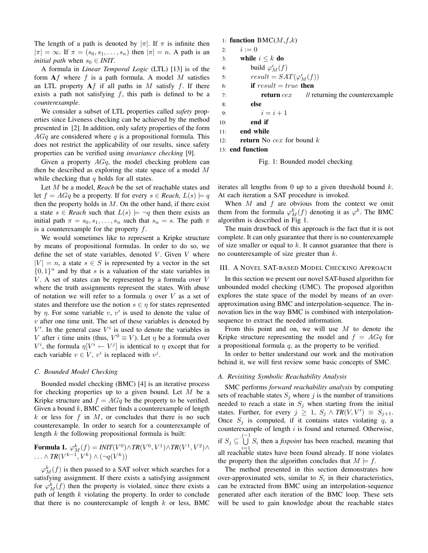The length of a path is denoted by  $|\pi|$ . If  $\pi$  is infinite then  $|\pi| = \infty$ . If  $\pi = (s_0, s_1, \ldots, s_n)$  then  $|\pi| = n$ . A path is an *initial path* when  $s_0 \text{ } \in$  *INIT*.

A formula in *Linear Temporal Logic* (LTL) [13] is of the form  $\mathbf{A}f$  where f is a path formula. A model M satisfies an LTL property  $Af$  if all paths in M satisfy f. If there exists a path not satisfying  $f$ , this path is defined to be a *counterexample*.

We consider a subset of LTL properties called *safety* properties since Liveness checking can be achieved by the method presented in [2]. In addition, only safety properties of the form  $AGq$  are considered where q is a propositional formula. This does not restrict the applicability of our results, since safety properties can be verified using *invariance checking* [9].

Given a property  $AGq$ , the model checking problem can then be described as exploring the state space of a model  $M$ while checking that  $q$  holds for all states.

Let M be a model, *Reach* be the set of reachable states and let  $f = AGq$  be a property. If for every  $s \in *Reach*, L(s) \models q$ then the property holds in  $M$ . On the other hand, if there exist a state  $s \in$  *Reach* such that  $L(s) \models \neg q$  then there exists an initial path  $\pi = s_0, s_1, \ldots, s_n$  such that  $s_n = s$ . The path  $\pi$ is a counterexample for the property  $f$ .

We would sometimes like to represent a Kripke structure by means of propositional formulas. In order to do so, we define the set of state variables, denoted  $V$ . Given  $V$  where  $|V| = n$ , a state  $s \in S$  is represented by a vector in the set  $\{0, 1\}^n$  and by that s is a valuation of the state variables in  $V$ . A set of states can be represented by a formula over  $V$ where the truth assignments represent the states. With abuse of notation we will refer to a formula  $\eta$  over V as a set of states and therefore use the notion  $s \in \eta$  for states represented by  $\eta$ . For some variable v, v' is used to denote the value of  $v$  after one time unit. The set of these variables is denoted by  $V'$ . In the general case  $V^i$  is used to denote the variables in V after *i* time units (thus,  $V^0 \equiv V$ ). Let  $\eta$  be a formula over  $V^i$ , the formula  $\eta[V^i \leftarrow V^j]$  is identical to  $\eta$  except that for each variable  $v \in V$ ,  $v^i$  is replaced with  $v^j$ .

#### *C. Bounded Model Checking*

Bounded model checking (BMC) [4] is an iterative process for checking properties up to a given bound. Let M be a Kripke structure and  $f = AGq$  be the property to be verified. Given a bound  $k$ , BMC either finds a counterexample of length  $k$  or less for  $f$  in  $M$ , or concludes that there is no such counterexample. In order to search for a counterexample of length  $k$  the following propositional formula is built:

**Formula 1.** 
$$
\varphi_M^k(f) = INT(V^0) \wedge TR(V^0, V^1) \wedge TR(V^1, V^2) \wedge
$$
  
  $\ldots \wedge TR(V^{k-1}, V^k) \wedge (\neg q(V^k))$ 

 $\varphi_M^k(f)$  is then passed to a SAT solver which searches for a satisfying assignment. If there exists a satisfying assignment for  $\varphi_M^k(f)$  then the property is violated, since there exists a path of length  $k$  violating the property. In order to conclude that there is no counterexample of length  $k$  or less, BMC

#### 1: function  $BMC(M,f,k)$

```
2: i := 03: while i \leq k do
4: build \varphi_M^i(f)5: result = SAT(\varphi_M^i(f))6: if result = true then
7: return cex // returning the counterexample
8: else
9: i = i + 110: end if
11: end while
12: return No cex for bound k13: end function
```

```
Fig. 1: Bounded model checking
```
iterates all lengths from 0 up to a given threshold bound  $k$ . At each iteration a SAT procedure is invoked.

When  $M$  and  $f$  are obvious from the context we omit them from the formula  $\varphi_M^k(f)$  denoting it as  $\varphi^k$ . The BMC algorithm is described in Fig 1.

The main drawback of this approach is the fact that it is not complete. It can only guarantee that there is no counterexample of size smaller or equal to  $k$ . It cannot guarantee that there is no counterexample of size greater than k.

## III. A NOVEL SAT-BASED MODEL CHECKING APPROACH

In this section we present our novel SAT-based algorithm for unbounded model checking (UMC). The proposed algorithm explores the state space of the model by means of an overapproximation using BMC and interpolation-sequence. The innovation lies in the way BMC is combined with interpolationsequence to extract the needed information.

From this point and on, we will use  $M$  to denote the Kripke structure representing the model and  $f = AGq$  for a propositional formula  $q$ , as the property to be verified.

In order to better understand our work and the motivation behind it, we will first review some basic concepts of SMC.

## *A. Revisiting Symbolic Reachability Analysis*

SMC performs *forward reachability analysis* by computing sets of reachable states  $S_i$  where j is the number of transitions needed to reach a state in  $S_i$  when starting from the initial states. Further, for every  $j \geq 1$ ,  $S_j \wedge TR(V, V') \equiv S_{j+1}$ . Once  $S_j$  is computed, if it contains states violating q, a counterexample of length  $i$  is found and returned. Otherwise, if  $S_j \subseteq \bigcup^{j-1}$  $\bigcup_{i=1}$   $S_i$  then a *fixpoint* has been reached, meaning that all reachable states have been found already. If none violates the property then the algorithm concludes that  $M \models f$ .

The method presented in this section demonstrates how over-approximated sets, similar to  $S_i$  in their characteristics, can be extracted from BMC using an interpolation-sequence generated after each iteration of the BMC loop. These sets will be used to gain knowledge about the reachable states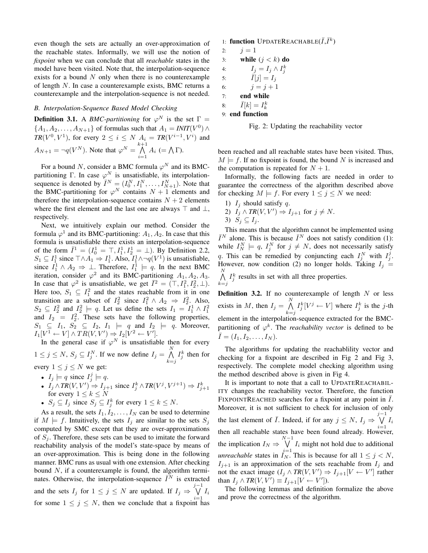even though the sets are actually an over-approximation of the reachable states. Informally, we will use the notion of *fixpoint* when we can conclude that all *reachable* states in the model have been visited. Note that, the interpolation-sequence exists for a bound  $N$  only when there is no counterexample of length N. In case a counterexample exists, BMC returns a counterexample and the interpolation-sequence is not needed.

## *B. Interpolation-Sequence Based Model Checking*

**Definition 3.1.** A *BMC-partitioning* for  $\varphi^N$  is the set  $\Gamma =$  $\{A_1, A_2, \ldots, A_{N+1}\}\$  of formulas such that  $A_1 = \text{INIT}(V^0) \land$  $TR(V^0, V^1)$ , for every  $2 \le i \le N$   $A_i = TR(V^{i-1}, V^i)$  and  $A_{N+1} = \neg q(V^N)$ . Note that  $\varphi^N = \bigwedge^{k+1}$  $\bigwedge_{i=1} A_i \ (= \bigwedge \Gamma).$ 

For a bound N, consider a BMC formula  $\varphi^N$  and its BMCpartitioning Γ. In case  $\varphi^N$  is unsatisfiable, its interpolationsequence is denoted by  $\overline{I}^N = (I_0^N, I_1^N, \dots, I_{N+1}^N)$ . Note that the BMC-partitioning for  $\varphi^N$  contains  $N+1$  elements and therefore the interpolation-sequence contains  $N + 2$  elements where the first element and the last one are always  $\top$  and  $\bot$ , respectively.

Next, we intuitively explain our method. Consider the formula  $\varphi^1$  and its BMC-partitioning:  $A_1, A_2$ . In case that this formula is unsatisfiable there exists an interpolation-sequence of the form  $\bar{I}^1 = (I_0^1 = \top, I_1^1, I_2^1 = \bot)$ . By Definition 2.2,  $S_1 \subseteq I_1^1$  since  $\top \wedge A_1 \Rightarrow I_1^1$ . Also,  $I_1^1 \wedge \neg q(V^1)$  is unsatisfiable, since  $I_1^1 \wedge A_2 \Rightarrow \perp$ . Therefore,  $I_1^1 \models q$ . In the next BMC iteration, consider  $\varphi^2$  and its BMC-partitioning  $A_1, A_2, A_3$ . In case that  $\varphi^2$  is unsatisfiable, we get  $\bar{I}^2 = (\top, I_1^2, I_2^2, \bot)$ . Here too,  $S_1 \subseteq I_1^2$  and the states reachable from it in one transition are a subset of  $I_2^2$  since  $I_1^2 \wedge A_2 \Rightarrow I_2^2$ . Also,  $S_2 \subseteq I_2^2$  and  $I_2^2 \models q$ . Let us define the sets  $I_1 = I_1^1 \wedge I_1^2$  and  $I_2 = I_2^2$ . These sets have the following properties,  $S_1 \subseteq I_1$ ,  $S_2 \subseteq I_2$ ,  $I_1 \models q$  and  $I_2 \models q$ . Moreover,  $I_1[V^1 \leftarrow V] \wedge TR(V, V') \Rightarrow I_2[V^2 \leftarrow V']$ .

In the general case if  $\varphi^N$  is unsatisfiable then for every  $1 \leq j \leq N$ ,  $S_j \subseteq I_j^N$ . If we now define  $I_j = \bigwedge^N$  $k = j$  $I_j^k$  then for every  $1 \leq j \leq N$  we get:

- $I_j \models q$  since  $I_j^j \models q$ .
- $I_j \wedge TR(V, V')$  ⇒  $I_{j+1}$  since  $I_j^k \wedge TR(V^j, V^{j+1})$  ⇒  $I_{j+1}^k$  for every  $1 \le k \le N$
- $S_j \subseteq I_j$  since  $S_j \subseteq I_j^k$  for every  $1 \leq k \leq N$ .

As a result, the sets  $I_1, I_2, \ldots, I_N$  can be used to determine if  $M \models f$ . Intuitively, the sets  $I_i$  are similar to the sets  $S_i$ computed by SMC except that they are over-approximations of  $S_i$ . Therefore, these sets can be used to imitate the forward reachability analysis of the model's state-space by means of an over-approximation. This is being done in the following manner. BMC runs as usual with one extension. After checking bound  $N$ , if a counterexample is found, the algorithm terminates. Otherwise, the interpolation-sequence  $\bar{I}^N$  is extracted and the sets  $I_j$  for  $1 \le j \le N$  are updated. If  $I_j \Rightarrow \bigvee^{j-1}$  $\bigvee_{i=1} I_i$ for some  $1 \leq j \leq N$ , then we conclude that a fixpoint has 1: function UPDATEREACHABLE( $\bar{I}$ , $\bar{I}^k$ )

2:  $j = 1$ 3: while  $(j < k)$  do 4:  $I_j = I_j \wedge I_j^k$ 5:  $\bar{I}[j] = I_j$ 6:  $j = j + 1$ 7: end while 8:  $\bar{I}[k] = I_k^k$ 9: end function



been reached and all reachable states have been visited. Thus,  $M \models f$ . If no fixpoint is found, the bound N is increased and the computation is repeated for  $N + 1$ .

Informally, the following facts are needed in order to guarantee the correctness of the algorithm described above for checking  $M \models f$ . For every  $1 \le j \le N$  we need:

1)  $I_j$  should satisfy q.

2) 
$$
I_j \wedge \text{TR}(V, V') \Rightarrow I_{j+1}
$$
 for  $j \neq N$ .

$$
3) S_j \subseteq I_j.
$$

 $k = j$ 

This means that the algorithm cannot be implemented using  $\bar{I}^N$  alone. This is because  $\bar{I}^N$  does not satisfy condition (1): while  $I_N^N \models q$ ,  $I_j^N$  for  $j \neq N$ , does not necessarily satisfy q. This can be remedied by conjuncting each  $I_j^N$  with  $I_j^j$ . However, now condition (2) no longer holds. Taking  $I_j =$  $\bigwedge^N$  $I_j^k$  results in set with all three properties.

**Definition 3.2.** If no counterexample of length  $N$  or less exists in M, then  $I_j = \bigwedge^N$  $k = j$  $I_j^k[V^j \leftarrow V]$  where  $I_j^k$  is the j-th element in the interpolation-sequence extracted for the BMCpartitioning of  $\varphi^k$ . The *reachability vector* is defined to be  $\bar{I} = (I_1, I_2, \ldots, I_N).$ 

The algorithms for updating the reachablility vector and checking for a fixpoint are described in Fig 2 and Fig 3, respectively. The complete model checking algorithm using the method described above is given in Fig 4.

It is important to note that a call to UPDATEREACHABIL-ITY changes the reachability vector. Therefore, the function FIXPOINTREACHED searches for a fixpoint at any point in  $I$ . Moreover, it is not sufficient to check for inclusion of only the last element of  $\overline{I}$ . Indeed, if for any  $j \le N$ ,  $I_j \Rightarrow \bigvee^{j-1} I_i$ then all reachable states have been found already. However, the implication  $I_N \Rightarrow \bigvee^{N-1} I_i$  might not hold due to additional *unreachable* states in  $I_N^{i=1}$ . This is because for all  $1 \le j \le N$ ,  $I_{j+1}$  is an approximation of the sets reachable from  $I_j$  and not the exact image  $(I_j \wedge \text{TR}(V, V') \Rightarrow I_{j+1}[V \leftarrow V']$  rather than  $I_j \wedge \textit{TR}(V, V') \equiv I_{j+1}[V \leftarrow V']$ ).

The following lemmas and definition formalize the above and prove the correctness of the algorithm.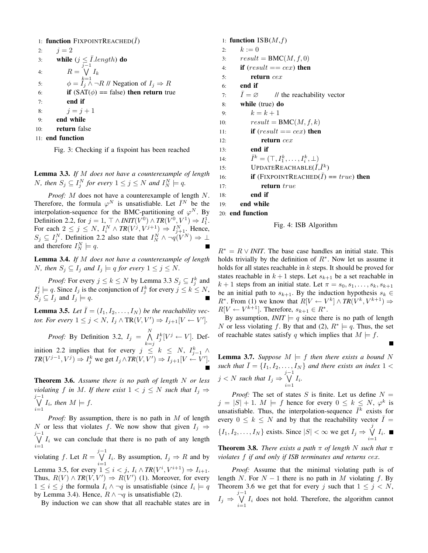\n- 1: **function** 
$$
FixPOINTREACHED(\overline{I})
$$
\n- 2:  $j = 2$
\n- 3: **while**  $(j \leq \overline{I}.length)$  **do**
\n- 4:  $R = \bigvee_{j=1}^{r-1} I_k$
\n- 5:  $\phi = I_j \land \neg R \text{ //} \text{Negation of } I_j \Rightarrow R$
\n- 6: **if**  $(SAT(\phi) == false)$  **then return** true
\n- 7: **end if**
\n- 8:  $j = j + 1$
\n- 9: **end while**
\n- 10: **return** false
\n- 11: **end function**
\n

Fig. 3: Checking if a fixpoint has been reached

Lemma 3.3. *If* M *does not have a counterexample of length N*, then  $S_j \subseteq I_j^N$  for every  $1 \leq j \leq N$  and  $I_N^N \models q$ .

*Proof:* M does not have a counterexample of length N. Therefore, the formula  $\varphi^N$  is unsatisfiable. Let  $\bar{I}^N$  be the interpolation-sequence for the BMC-partitioning of  $\varphi^N$ . By Definition 2.2, for  $j = 1$ ,  $\top \wedge INT(V^0) \wedge TR(V^0, V^1) \Rightarrow I_1^1$ . For each  $2 \le j \le N$ ,  $I_i^N \wedge TR(V^j, V^{j+1}) \Rightarrow I_{j+1}^N$ . Hence,  $S_j \subseteq I_j^N$ . Definition 2.2 also state that  $I_N^N \wedge \neg q(V^N) \Rightarrow \bot$ and therefore  $I_N^N \models q$ .

Lemma 3.4. *If* M *does not have a counterexample of length N*, then  $S_j \subseteq I_j$  and  $I_j \models q$  for every  $1 \leq j \leq N$ .

*Proof:* For every  $j \le k \le N$  by Lemma 3.3  $S_j \subseteq I_j^k$  and  $I_j^i \models q$ . Since  $I_j$  is the conjunction of  $I_j^k$  for every  $j \leq k \leq N$ ,  $\check{S}_i \subseteq I_i$  and  $I_i \models q$ .

**Lemma 3.5.** Let  $\bar{I} = (I_1, I_2, \ldots, I_N)$  be the reachability vec*tor. For every*  $1 \leq j \leq N$ ,  $I_j \wedge \text{TR}(V, V') \Rightarrow I_{j+1}[V \leftarrow V']$ .

*Proof:* By Definition 3.2,  $I_j = \bigwedge^N I_j^k [V^j \leftarrow V]$ . Def $k = j$ inition 2.2 implies that for every  $j \leq k \leq N$ ,  $I_{j-1}^k \wedge I_{j-1}^k$  $TR(V^{j-1}, V^j) \Rightarrow I^k_j$  we get  $I_j \wedge TR(V, V') \Rightarrow I_{j+1}[V \stackrel{\sim}{\leftarrow} V']$ .

Theorem 3.6. *Assume there is no path of length* N *or less violating* f *in* M. If there exist  $1 < j \leq N$  such that  $I_j \Rightarrow$  $\bigvee_{j=1}^{j-1} I_i$ , then  $M \models f$ .  $i=1$ 

*Proof:* By assumption, there is no path in M of length N or less that violates f. We now show that given  $I_i \Rightarrow$  $j-1$ <br>  $\bigvee I_i$  we can conclude that there is no path of any length  $i=1$ violating f. Let  $R = \bigvee^{j-1} I_i$ . By assumption,  $I_j \Rightarrow R$  and by Lemma 3.5, for every  $1 \le i < j$ ,  $I_i \wedge \text{TR}(V^i, V^{i+1}) \Rightarrow I_{i+1}$ . Thus,  $R(V) \wedge TR(V, V') \Rightarrow R(V')$  (1). Moreover, for every

 $1 \leq i \leq j$  the formula  $I_i \wedge \neg q$  is unsatisfiable (since  $I_i \models q$ by Lemma 3.4). Hence,  $R \wedge \neg q$  is unsatisfiable (2).

By induction we can show that all reachable states are in

#### 1: function  $\text{ISB}(M, f)$

2:  $k := 0$ 3:  $result = BMC(M, f, 0)$ 4: if  $(result == cex)$  then 5: return cex 6: end if 7:  $\bar{I} = \varnothing$  // the reachability vector 8: while (true) do 9:  $k = k + 1$ 10:  $result = BMC(M, f, k)$ 11: **if**  $(result == cex)$  **then** 12: return cex 13: end if 14:  $\bar{I}^k = (\top, I_1^k, \dots, I_i^k, \bot)$ 15: **UPDATEREACHABLE** $(\bar{I}, \bar{I}^k)$ 16: **if** (FIXPOINTREACHED( $\overline{I}$ ) == true) **then** 17: **return** true 18: end if 19: end while 20: end function

Fig. 4: ISB Algorithm

 $R^* = R \vee \textit{INIT}$ . The base case handles an initial state. This holds trivially by the definition of  $R^*$ . Now let us assume it holds for all states reachable in  $k$  steps. It should be proved for states reachable in  $k+1$  steps. Let  $s_{k+1}$  be a set reachable in  $k + 1$  steps from an initial state. Let  $\pi = s_0, s_1, \ldots, s_k, s_{k+1}$ be an initial path to  $s_{k+1}$ . By the induction hypothesis  $s_k \in$  $R^*$ . From (1) we know that  $R[V \leftarrow V^k] \wedge TR(V^k, V^{k+1}) \Rightarrow$  $R[V \leftarrow V^{k+1}]$ . Therefore,  $s_{k+1} \in R^*$ .

By assumption,  $INT \models q$  since there is no path of length N or less violating f. By that and (2),  $R^* \models q$ . Thus, the set of reachable states satisfy q which implies that  $M \models f$ .

**Lemma 3.7.** Suppose  $M \models f$  then there exists a bound N *such that*  $\overline{I} = \{I_1, I_2, \ldots, I_N\}$  *and there exists an index* 1 <  $j < N$  such that  $I_j \Rightarrow \bigvee^{j-1}$  $\bigvee_{i=1}$   $I_i$ .

*Proof:* The set of states S is finite. Let us define  $N =$  $j = |S| + 1$ .  $M \models f$  hence for every  $0 \le k \le N$ ,  $\varphi^k$  is unsatisfiable. Thus, the interpolation-sequence  $\bar{I}^k$  exists for every  $0 \leq k \leq N$  and by that the reachability vector  $\overline{I} =$  $\{I_1, I_2, \ldots, I_N\}$  exists. Since  $|S| < \infty$  we get  $I_j \Rightarrow \bigvee^j I_i$ .  $i=1$ 

**Theorem 3.8.** *There exists a path*  $\pi$  *of length* N *such that*  $\pi$ *violates* f *if and only if ISB terminates and returns* cex*.*

*Proof:* Assume that the minimal violating path is of length N. For  $N - 1$  there is no path in M violating f. By Theorem 3.6 we get that for every j such that  $1 \leq j \leq N$ ,  $I_j \Rightarrow \bigvee^{j-1}$  $\bigvee_{i=1} I_i$  does not hold. Therefore, the algorithm cannot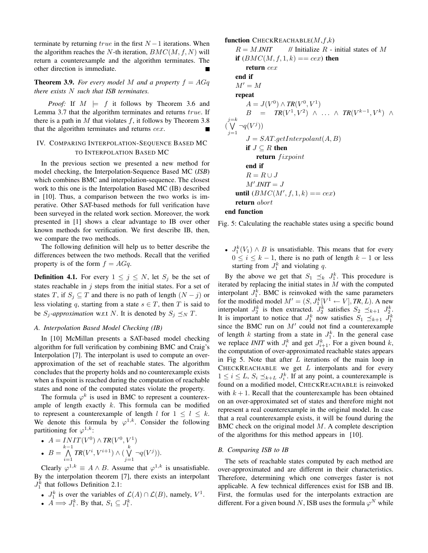terminate by returning  $true$  in the first  $N-1$  iterations. When the algorithm reaches the N-th iteration,  $BMC(M, f, N)$  will return a counterexample and the algorithm terminates. The other direction is immediate.

## **Theorem 3.9.** For every model M and a property  $f = AGq$ *there exists* N *such that ISB terminates.*

*Proof:* If  $M \models f$  it follows by Theorem 3.6 and Lemma 3.7 that the algorithm terminates and returns true. If there is a path in M that violates f, it follows by Theorem 3.8 that the algorithm terminates and returns cex.

## IV. COMPARING INTERPOLATION-SEQUENCE BASED MC TO INTERPOLATION BASED MC

In the previous section we presented a new method for model checking, the Interpolation-Sequence Based MC (*ISB*) which combines BMC and interpolation-sequence. The closest work to this one is the Interpolation Based MC (IB) described in [10]. Thus, a comparison between the two works is imperative. Other SAT-based methods for full verification have been surveyed in the related work section. Moreover, the work presented in [1] shows a clear advantage to IB over other known methods for verification. We first describe IB, then, we compare the two methods.

The following definition will help us to better describe the differences between the two methods. Recall that the verified property is of the form  $f = AGq$ .

**Definition 4.1.** For every  $1 \leq j \leq N$ , let  $S_j$  be the set of states reachable in  $j$  steps from the initial states. For a set of states T, if  $S_j \subseteq T$  and there is no path of length  $(N - j)$  or less violating q, starting from a state  $s \in T$ , then T is said to be  $S_j$ -*approximation* w.r.t N. It is denoted by  $S_j \preceq_N T$ .

#### *A. Interpolation Based Model Checking (IB)*

In [10] McMillan presents a SAT-based model checking algorithm for full verification by combining BMC and Craig's Interpolation [7]. The interpolant is used to compute an overapproximation of the set of reachable states. The algorithm concludes that the property holds and no counterexample exists when a fixpoint is reached during the computation of reachable states and none of the computed states violate the property.

The formula  $\varphi^k$  is used in BMC to represent a counterexample of length exactly  $k$ . This formula can be modified to represent a counterexample of length l for  $1 \leq l \leq k$ . We denote this formula by  $\varphi^{1,k}$ . Consider the following partitioning for  $\varphi^{1,k}$ :

• 
$$
A = \text{INIT}(V^0) \land \text{TR}(V^0, V^1)
$$
  
\n• 
$$
B = \bigwedge_{i=1}^{k-1} \text{TR}(V^i, V^{i+1}) \land (\bigvee_{j=1}^k \neg q(V^j)).
$$

Clearly  $\varphi^{1,k} \equiv A \wedge B$ . Assume that  $\varphi^{1,k}$  is unsatisfiable. By the interpolation theorem [7], there exists an interpolant  $J_1^k$  that follows Definition 2.1:

•  $J_1^k$  is over the variables of  $\mathcal{L}(A) \cap \mathcal{L}(B)$ , namely,  $V^1$ .

• 
$$
A \Longrightarrow J_1^k
$$
. By that,  $S_1 \subseteq J_1^k$ .

function CHECKREACHABLE $(M, f, k)$  $R = M \cdot INT$  // Initialize R - initial states of M if  $(BMC(M, f, 1, k) == cex)$  then return cex end if  $M'=M$ repeat  $A = J(V^{0}) \wedge TR(V^{0}, V^{1})$  $B = TR(V^1, V^2) \wedge ... \wedge TR(V^{k-1}, V^k) \wedge ...$  $\bigvee^{j=k}$  $j=1$  $\neg q(V^j)$  $J = SAT.getInterpolant(A, B)$ if  $J \subseteq R$  then return fixpoint end if  $R = R \cup J$  $M'.\textit{INIT} = J$ until  $(BMC(M', f, 1, k) == cex)$ return abort

## end function

Fig. 5: Calculating the reachable states using a specific bound

•  $J_1^k(V_1) \wedge B$  is unsatisfiable. This means that for every  $0 \leq i \leq k - 1$ , there is no path of length  $k - 1$  or less starting from  $J_1^k$  and violating q.

By the above we get that  $S_1 \preceq_k J_1^k$ . This procedure is iterated by replacing the initial states in  $M$  with the computed interpolant  $J_1^k$ . BMC is reinvoked with the same parameters for the modified model  $M' = (S, J_1^k[V^1 \leftarrow V], TR, L)$ . A new interpolant  $J_2^k$  is then extracted.  $J_2^k$  satisfies  $S_2 \preceq_{k+1} J_2^k$ . It is important to notice that  $J_1^k$  now satisfies  $S_1 \preceq_{k+1} J_1^k$ since the BMC run on  $M'$  could not find a counterexample of length k starting from a state in  $J_1^k$ . In the general case we replace *INIT* with  $J_i^k$  and get  $J_{i+1}^k$ . For a given bound k, the computation of over-approximated reachable states appears in Fig 5. Note that after  $L$  iterations of the main loop in CHECKREACHABLE we get  $L$  interpolants and for every  $1 \leq i \leq L$ ,  $S_i \preceq_{k+L} J_i^k$ . If at any point, a counterexample is found on a modified model, CHECKREACHABLE is reinvoked with  $k + 1$ . Recall that the counterexample has been obtained on an over-approximated set of states and therefore might not represent a real counterexample in the original model. In case that a real counterexample exists, it will be found during the BMC check on the original model  $M$ . A complete description of the algorithms for this method appears in [10].

#### *B. Comparing ISB to IB*

The sets of reachable states computed by each method are over-approximated and are different in their characteristics. Therefore, determining which one converges faster is not applicable. A few technical differences exist for ISB and IB. First, the formulas used for the interpolants extraction are different. For a given bound N, ISB uses the formula  $\varphi^N$  while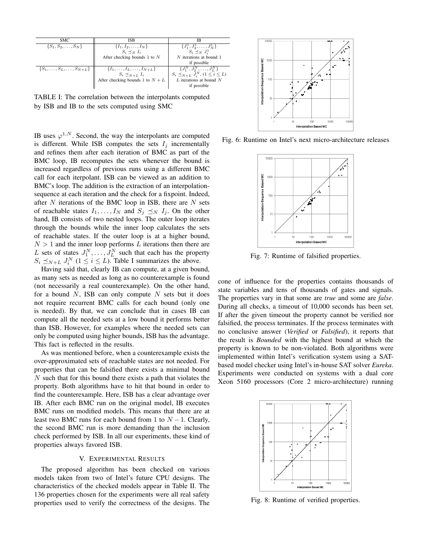| SMC.                                 | <b>ISB</b>                               | ΙB                                                    |
|--------------------------------------|------------------------------------------|-------------------------------------------------------|
| $\{S_1, S_2, \ldots, S_N\}$          | $\{I_1, I_2, \ldots, I_N\}$              | $\{J_1^1, J_2^1, \ldots, J_N^1\}$                     |
|                                      | $S_i \prec_N I_i$                        | $S_i \preceq_N J_i^1$                                 |
|                                      | After checking bounds 1 to $N$           | $N$ iterations at bound 1                             |
|                                      |                                          | if possible                                           |
| $\{S_1,\ldots,S_L,\ldots,S_{N+L}\}\$ | $\{I_1, \ldots, I_L, \ldots, I_{N+L}\}\$ | $\{J_1^N, J_2^N, \ldots, J_L^N\}$                     |
|                                      | $S_i \preceq_{N+L} I_i$                  | $S_i \preceq_{N+L} \bar{J}_i^N$ , $(1 \leq i \leq L)$ |
|                                      | After checking bounds 1 to $N + L$       | $L$ iterations at bound $N$                           |
|                                      |                                          | if possible                                           |

TABLE I: The correlation between the interpolants computed by ISB and IB to the sets computed using SMC

IB uses  $\varphi^{1,N}$ . Second, the way the interpolants are computed is different. While ISB computes the sets  $I_i$  incrementally and refines them after each iteration of BMC as part of the BMC loop, IB recomputes the sets whenever the bound is increased regardless of previous runs using a different BMC call for each iterpolant. ISB can be viewed as an addition to BMC's loop. The addition is the extraction of an interpolationsequence at each iteration and the check for a fixpoint. Indeed, after  $N$  iterations of the BMC loop in ISB, there are  $N$  sets of reachable states  $I_1, \ldots, I_N$  and  $S_j \preceq_N I_j$ . On the other hand, IB consists of two nested loops. The outer loop iterates through the bounds while the inner loop calculates the sets of reachable states. If the outer loop is at a higher bound,  $N > 1$  and the inner loop performs L iterations then there are L sets of states  $J_1^N, \ldots, J_L^N$  such that each has the property  $S_i \preceq_{N+L} J_i^N$   $(1 \leq i \leq L)$ . Table I summarizes the above.

Having said that, clearly IB can compute, at a given bound, as many sets as needed as long as no counterexample is found (not necessarily a real counterexample). On the other hand, for a bound  $N$ , ISB can only compute  $N$  sets but it does not require recurrent BMC calls for each bound (only one is needed). By that, we can conclude that in cases IB can compute all the needed sets at a low bound it performs better than ISB. However, for examples where the needed sets can only be computed using higher bounds, ISB has the advantage. This fact is reflected in the results.

As was mentioned before, when a counterexample exists the over-approximated sets of reachable states are not needed. For properties that can be falsified there exists a minimal bound N such that for this bound there exists a path that violates the property. Both algorithms have to hit that bound in order to find the counterexample. Here, ISB has a clear advantage over IB. After each BMC run on the original model, IB executes BMC runs on modified models. This means that there are at least two BMC runs for each bound from 1 to  $N - 1$ . Clearly, the second BMC run is more demanding than the inclusion check performed by ISB. In all our experiments, these kind of properties always favored ISB.

#### V. EXPERIMENTAL RESULTS

The proposed algorithm has been checked on various models taken from two of Intel's future CPU designs. The characteristics of the checked models appear in Table II. The 136 properties chosen for the experiments were all real safety properties used to verify the correctness of the designs. The



Fig. 6: Runtime on Intel's next micro-architecture releases



Fig. 7: Runtime of falsified properties.

cone of influence for the properties contains thousands of state variables and tens of thousands of gates and signals. The properties vary in that some are *true* and some are *false*. During all checks, a timeout of 10,000 seconds has been set. If after the given timeout the property cannot be verified nor falsified, the process terminates. If the process terminates with no conclusive answer (*Verified* or *Falsified*), it reports that the result is *Bounded* with the highest bound at which the property is known to be non-violated. Both algorithms were implemented within Intel's verification system using a SATbased model checker using Intel's in-house SAT solver *Eureka*. Experiments were conducted on systems with a dual core Xeon 5160 processors (Core 2 micro-architecture) running



Fig. 8: Runtime of verified properties.